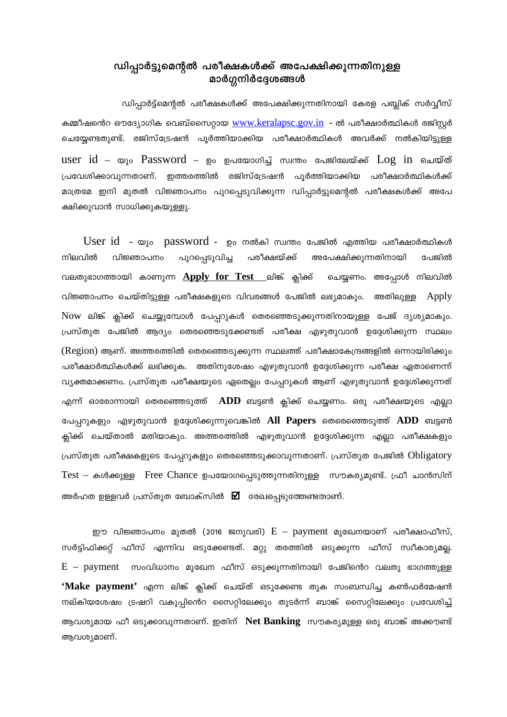## ഡിപ്പാർട്ടുമെന്റൽ പരീക്ഷകൾക്ക് അപേക്ഷിക്കുന്നതിനുള്ള മാർഗ്ഗനിർദ്ദേശങ്ങൾ

ഡിപ്പാർട്ട്മെന്റൽ പരീക്ഷകൾക്ക് അപേക്ഷിക്കുന്നതിനായി കേരള പബ്ലിക് സർവ്വീസ് കമ്മീഷൻെറ ഔദ്യോഗിക വെബ്സൈറ്റായ www.keralapsc.gov.in - ൽ പരീക്ഷാർത്ഥികൾ രജിസ്റ്റർ ചെയ്യേണ്ടതുണ്ട്. രജിസ്ട്രേഷൻ പൂർത്തിയാക്കിയ പരീക്ഷാർത്ഥികൾ അവർക്ക് നൽകിയിട്ടുള്ള user  $id - \omega_{\lambda}$ ം  $Password - \rho$ ം ഉപയോഗിച്ച് സ്വന്തം പേജിലേയ്ക്ക്  $Log in$  ചെയ്ത് പ്രവേശിക്കാവുന്നതാണ്. ഇത്തരത്തിൽ രജിസ്ട്രേഷൻ പൂർത്തിയാക്കിയ പരീക്ഷാർത്ഥികൾക്ക് മാത്രമേ ഇനി മുതൽ വിജ്ഞാപനം പുറപ്പെടുവിക്കുന്ന ഡിപ്പാർട്ടുമെന്റൽ പരീക്ഷകൾക്ക് അപേ ക്ഷിക്കുവാൻ സാധിക്കുകയുള്ളു.

User id - യും password - ഉം നൽകി സ്വന്തം പേജിൽ എത്തിയ പരീക്ഷാർത്ഥികൾ നിലവിൽ പുറപ്പെടുവിച്ച പരീക്ഷയ്ക്ക് അപേക്ഷിക്കുന്നതിനായി പേജിൽ വിജ്ഞാപനം വലതുഭാഗത്തായി കാണുന്ന Apply for Test ലിങ്ക് ക്ലിക്ക് ചെയ്യണം. അപ്പോൾ നിലവിൽ വിജ്ഞാപനം ചെയ്തിട്ടുള്ള പരീക്ഷകളുടെ വിവരങ്ങൾ പേജിൽ ലഭ്യമാകും. അതിലുള്ള Apply Now ലിങ്ക് ക്ലിക്ക് ചെയ്യുമ്പോൾ പേപ്പറുകൾ തെരഞ്ഞെടുക്കുന്നതിനായുള്ള പേജ് ദൃശ്യമാകും. പ്രസ്തുത പേജിൽ ആദ്യം തെരഞ്ഞെടുക്കേണ്ടത് പരീക്ഷ എഴുതുവാൻ ഉദ്ദേശിക്കുന്ന സ്ഥലം (Region) ആണ്. അത്തരത്തിൽ തെരഞ്ഞെടുക്കുന്ന സ്ഥലത്ത് പരീക്ഷാകേന്ദ്രങ്ങളിൽ ഒന്നായിരിക്കും പരീക്ഷാർത്ഥികൾക്ക് ലഭിക്കുക. അതിനുശേഷം എഴുതുവാൻ ഉദ്ദേശിക്കുന്ന പരീക്ഷ ഏതാണെന്ന് വ്യക്തമാക്കണം. പ്രസ്തുത പരീക്ഷയുടെ ഏതെല്ലം പേപ്പറുകൾ ആണ് എഴുതുവാൻ ഉദ്ദേശിക്കുന്നത് എന്ന് ഓരോന്നായി തെരഞ്ഞെടുത്ത്  $\,$  ADD ബട്ടൺ ക്ലിക്ക് ചെയ്യണം. ഒരു പരീക്ഷയുടെ എല്ലാ പേപ്പറുകളും എഴുതുവാൻ ഉദ്ദേശിക്കുന്നുവെങ്കിൽ All Papers തെരെഞ്ഞെടുത്ത് ADD ബട്ടൺ ക്ലിക്ക് ചെയ്താൽ മതിയാകും. അത്തരത്തിൽ എഴുതുവാൻ ഉദ്ദേശിക്കുന്ന എല്ലാ പരീക്ഷകളും പ്രസ്തുത പരീക്ഷകളുടെ പേപ്പറുകളും തെരഞ്ഞെടുക്കാവുന്നതാണ്. പ്രസ്തുത പേജിൽ Obligatory Test – കൾക്കുള്ള Free Chance ഉപയോഗപ്പെടുത്തുന്നതിനുള്ള സൗകര്യമുണ്ട്. ഫ്രീ ചാൻസിന് അർഹത ഉള്ളവർ പ്രസ്തുത ബോക്സിൽ  $\overline{\mathbf{\Sigma}}$  രേഖപ്പെടുത്തേണ്ടതാണ്.

ഈ വിജ്ഞാപനം മുതൽ (2016 ജനുവരി)  $\rm E$  —  $\rm p$ ayment മുഖേനയാണ് പരീക്ഷാഫീസ്, സർട്ടിഫിക്കറ്റ് ഫീസ് എന്നിവ ഒടുക്കേണ്ടത്. മറ്റു തരത്തിൽ ഒടുക്കുന്ന ഫീസ് സ്വീകാര്യമല്ല.  $E$  - payment  $\,$  സംവിധാനം മുഖേന ഫീസ് ഒടുക്കുന്നതിനായി പേജിൻെറ വലതു ഭാഗത്തുള്ള 'Make payment' എന്ന ലിങ്ക് ക്ലിക്ക് ചെയ്ത് ഒടുക്കേണ്ട തുക സംബന്ധിച്ച കൺഫർമേഷൻ നല്കിയശേഷം ട്രഷറി വകുപ്പിൻെറ സൈറ്റിലേക്കും തുടർന്ന് ബാങ്ക് സൈറ്റിലേക്കും പ്രവേശിച്ച് ആവശ്യമായ ഫീ ഒടുക്കാവുന്നതാണ്. ഇതിന് Net Banking സൗകര്യമുള്ള ഒരു ബാങ്ക് അക്കൗണ്ട് ആവശ്യമാണ്.